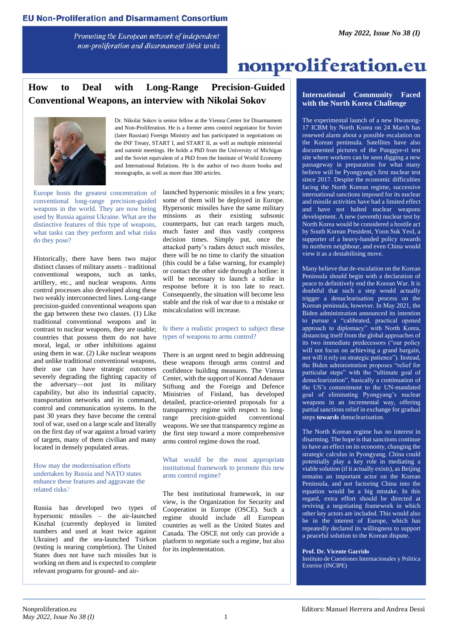Promoting the European network of independent non-proliferation and disarmament think tanks

# nonproliferation.eu

# **How to Deal with Long-Range Precision-Guided Conventional Weapons, an interview with Nikolai Sokov**



Dr. Nikolai Sokov is senior fellow at the Vienna Center for Disarmament and Non-Proliferation. He is a former arms control negotiator for Soviet (later Russian) Foreign Ministry and has participated in negotiations on the INF Treaty, START I, and START II, as well as multiple ministerial and summit meetings. He holds a PhD from the University of Michigan and the Soviet equivalent of a PhD from the Institute of World Economy and International Relations. He is the author of two dozen books and monographs, as well as more than 300 articles.

Europe hosts the greatest concentration of conventional long-range precision-guided weapons in the world. They are now being used by Russia against Ukraine. What are the distinctive features of this type of weapons, what tasks can they perform and what risks do they pose?

Historically, there have been two major distinct classes of military assets – traditional conventional weapons, such as tanks, artillery, etc., and nuclear weapons. Arms control processes also developed along these two weakly interconnected lines. Long-range precision-guided conventional weapons span the gap between these two classes. (1) Like traditional conventional weapons and in contrast to nuclear weapons, they are usable; countries that possess them do not have moral, legal, or other inhibitions against using them in war. (2) Like nuclear weapons and unlike traditional conventional weapons, their use can have strategic outcomes severely degrading the fighting capacity of the adversary—not just its military capability, but also its industrial capacity, transportation networks and its command, control and communication systems. In the past 30 years they have become the central tool of war, used on a large scale and literally on the first day of war against a broad variety of targets, many of them civilian and many located in densely populated areas.

#### How may the modernisation efforts undertaken by Russia and NATO states enhance these features and aggravate the related risks?

Russia has developed two types of hypersonic missiles – the air-launched Kinzhal (currently deployed in limited numbers and used at least twice against Ukraine) and the sea-launched Tsirkon (testing is nearing completion). The United States does not have such missiles but is working on them and is expected to complete relevant programs for ground- and airlaunched hypersonic missiles in a few years; some of them will be deployed in Europe. Hypersonic missiles have the same military missions as their existing subsonic counterparts, but can reach targets much, much faster and thus vastly compress decision times. Simply put, once the attacked party's radars detect such missiles, there will be no time to clarify the situation (this could be a false warning, for example) or contact the other side through a hotline: it will be necessary to launch a strike in response before it is too late to react. Consequently, the situation will become less stable and the risk of war due to a mistake or miscalculation will increase.

#### Is there a realistic prospect to subject these types of weapons to arms control?

There is an urgent need to begin addressing these weapons through arms control and confidence building measures. The Vienna Center, with the support of Konrad Adenauer Stiftung and the Foreign and Defence Ministries of Finland, has developed detailed, practice-oriented proposals for a transparency regime with respect to longrange precision-guided conventional weapons. We see that transparency regime as the first step toward a more comprehensive arms control regime down the road.

What would be the most appropriate institutional framework to promote this new arms control regime?

The best institutional framework, in our view, is the Organization for Security and Cooperation in Europe (OSCE). Such a regime should include all European countries as well as the United States and Canada. The OSCE not only can provide a platform to negotiate such a regime, but also for its implementation.

#### **International Community Faced with the North Korea Challenge**

The experimental launch of a new Hwasong-17 ICBM by North Korea on 24 March has renewed alarm about a possible escalation on the Korean peninsula. Satellites have also documented pictures of the Punggye-ri test site where workers can be seen digging a new passageway in preparation for what many believe will be Pyongyang's first nuclear test since 2017. Despite the economic difficulties facing the North Korean regime, successive international sanctions imposed for its nuclear and missile activities have had a limited effect and have not halted nuclear weapons development. A new (seventh) nuclear test by North Korea would be considered a hostile act by South Korean President, Yoon Suk Yeol, a supporter of a heavy-handed policy towards its northern neighbour, and even China would view it as a destabilising move.

Many believe that de-escalation on the Korean Peninsula should begin with a declaration of peace to definitively end the Korean War. It is doubtful that such a step would actually trigger a denuclearisation process on the Korean peninsula, however. In May 2021, the Biden administration announced its intention to pursue a "calibrated, practical opened approach to diplomacy" with North Korea, distancing itself from the global approaches of its two immediate predecessors ("our policy will not focus on achieving a grand bargain, nor will it rely on strategic patience"). Instead, the Biden administration proposes "relief for particular steps" with the "ultimate goal of denuclearization", basically a continuation of the US's commitment to the UN-mandated goal of eliminating Pyongyang's nuclear weapons in an incremental way, offering partial sanctions relief in exchange for gradual steps **towards** denuclearisation.

The North Korean regime has no interest in disarming. The hope is that sanctions continue to have an effect on its economy, changing the strategic calculus in Pyongyang. China could potentially play a key role in mediating a viable solution (if it actually exists), as Beijing remains an important actor on the Korean Peninsula, and not factoring China into the equation would be a big mistake. In this regard, extra effort should be directed at reviving a negotiating framework in which other key actors are included. This would also be in the interest of Europe, which has repeatedly declared its willingness to support a peaceful solution to the Korean dispute.

**Prof. Dr. Vicente Garrido**

Instituto de Cuestiones Internacionales y Politica Exterior (INCIPE)